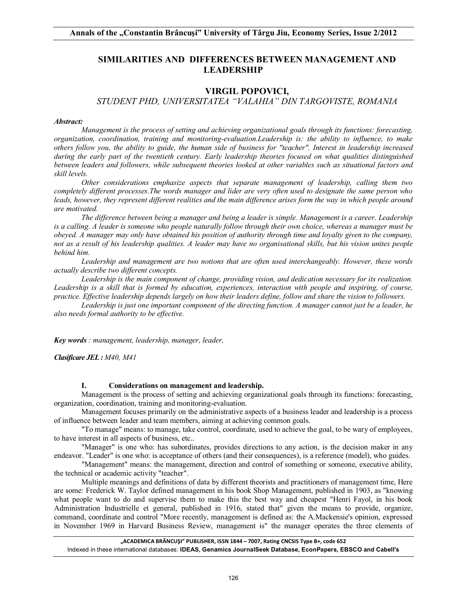# **SIMILARITIES AND DIFFERENCES BETWEEN MANAGEMENT AND LEADERSHIP**

#### **VIRGIL POPOVICI,**

*STUDENT PHD, UNIVERSITATEA "VALAHIA" DIN TARGOVISTE, ROMANIA*

#### *Abstract:*

*Management is the process of setting and achieving organizational goals through its functions: forecasting, organization, coordination, training and monitoring-evaluation.Leadership is: the ability to influence, to make others follow you, the ability to guide, the human side of business for "teacher". Interest in leadership increased during the early part of the twentieth century. Early leadership theories focused on what qualities distinguished between leaders and followers, while subsequent theories looked at other variables such as situational factors and skill levels.*

*Other considerations emphasize aspects that separate management of leadership, calling them two completely different processes.The words manager and lider are very often used to designate the same person who leads, however, they represent different realities and the main difference arises form the way in which people around are motivated.*

*The difference between being a manager and being a leader is simple. Management is a career. Leadership is a calling. A leader is someone who people naturally follow through their own choice, whereas a manager must be obeyed. A manager may only have obtained his position of authority through time and loyalty given to the company, not as a result of his leadership qualities. A leader may have no organisational skills, but his vision unites people behind him.*

*Leadership and management are two notions that are often used interchangeably. However, these words actually describe two different concepts.*

*Leadership is the main component of change, providing vision, and dedication necessary for its realization. Leadership is a skill that is formed by education, experiences, interaction with people and inspiring, of course, practice. Effective leadership depends largely on how their leaders define, follow and share the vision to followers.*

*Leadership is just one important component of the directing function. A manager cannot just be a leader, he also needs formal authority to be effective.*

*Key words : management, leadership, manager, leader,* 

*Clasificare JEL : M40, M41*

#### **I. Considerations on management and leadership.**

Management is the process of setting and achieving organizational goals through its functions: forecasting, organization, coordination, training and monitoring-evaluation.

Management focuses primarily on the administrative aspects of a business leader and leadership is a process of influence between leader and team members, aiming at achieving common goals.

"To manage" means: to manage, take control, coordinate, used to achieve the goal, to be wary of employees, to have interest in all aspects of business, etc..

"Manager" is one who: has subordinates, provides directions to any action, is the decision maker in any endeavor. "Leader" is one who: is acceptance of others (and their consequences), is a reference (model), who guides.

"Management" means: the management, direction and control of something or someone, executive ability, the technical or academic activity "teacher".

Multiple meanings and definitions of data by different theorists and practitioners of management time, Here are some: Frederick W. Taylor defined management in his book Shop Management, published in 1903, as "knowing what people want to do and supervise them to make this the best way and cheapest "Henri Fayol, in his book Administration Industrielle et general, published in 1916, stated that" given the means to provide, organize, command, coordinate and control "More recently, management is defined as: the A.Mackensie's opinion, expressed in November 1969 in Harvard Business Review, management is" the manager operates the three elements of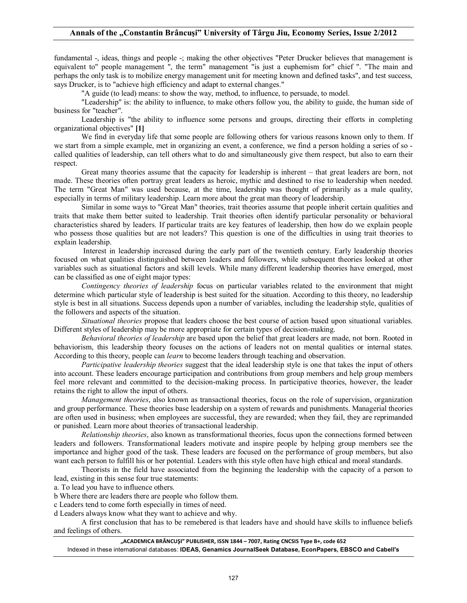fundamental -, ideas, things and people -; making the other objectives "Peter Drucker believes that management is equivalent to" people management ", the term" management "is just a euphemism for" chief ". "The main and perhaps the only task is to mobilize energy management unit for meeting known and defined tasks", and test success, says Drucker, is to "achieve high efficiency and adapt to external changes."

"A guide (to lead) means: to show the way, method, to influence, to persuade, to model.

"Leadership" is: the ability to influence, to make others follow you, the ability to guide, the human side of business for "teacher".

Leadership is "the ability to influence some persons and groups, directing their efforts in completing organizational objectives" **[1]**

We find in everyday life that some people are following others for various reasons known only to them. If we start from a simple example, met in organizing an event, a conference, we find a person holding a series of so called qualities of leadership, can tell others what to do and simultaneously give them respect, but also to earn their respect.

Great many theories assume that the capacity for leadership is inherent – that great leaders are born, not made. These theories often portray great leaders as heroic, mythic and destined to rise to leadership when needed. The term "Great Man" was used because, at the time, leadership was thought of primarily as a male quality, especially in terms of military leadership. Learn more about the great man theory of leadership.

Similar in some ways to "Great Man" theories, trait theories assume that people inherit certain qualities and traits that make them better suited to leadership. Trait theories often identify particular personality or behavioral characteristics shared by leaders. If particular traits are key features of leadership, then how do we explain people who possess those qualities but are not leaders? This question is one of the difficulties in using trait theories to explain leadership.

Interest in leadership increased during the early part of the twentieth century. Early leadership theories focused on what qualities distinguished between leaders and followers, while subsequent theories looked at other variables such as situational factors and skill levels. While many different leadership theories have emerged, most can be classified as one of eight major types:

*Contingency theories of leadership* focus on particular variables related to the environment that might determine which particular style of leadership is best suited for the situation. According to this theory, no leadership style is best in all situations. Success depends upon a number of variables, including the leadership style, qualities of the followers and aspects of the situation.

*Situational theories* propose that leaders choose the best course of action based upon situational variables. Different styles of leadership may be more appropriate for certain types of decision-making.

*Behavioral theories of leadership* are based upon the belief that great leaders are made, not born. Rooted in behaviorism, this leadership theory focuses on the actions of leaders not on mental qualities or internal states. According to this theory, people can *learn* to become leaders through teaching and observation.

*Participative leadership theories* suggest that the ideal leadership style is one that takes the input of others into account. These leaders encourage participation and contributions from group members and help group members feel more relevant and committed to the decision-making process. In participative theories, however, the leader retains the right to allow the input of others.

*Management theories*, also known as transactional theories, focus on the role of supervision, organization and group performance. These theories base leadership on a system of rewards and punishments. Managerial theories are often used in business; when employees are successful, they are rewarded; when they fail, they are reprimanded or punished. Learn more about theories of transactional leadership.

*Relationship theories*, also known as transformational theories, focus upon the connections formed between leaders and followers. Transformational leaders motivate and inspire people by helping group members see the importance and higher good of the task. These leaders are focused on the performance of group members, but also want each person to fulfill his or her potential. Leaders with this style often have high ethical and moral standards.

Theorists in the field have associated from the beginning the leadership with the capacity of a person to lead, existing in this sense four true statements:

a. To lead you have to influence others.

b Where there are leaders there are people who follow them.

c Leaders tend to come forth especially in times of need.

d Leaders always know what they want to achieve and why.

A first conclusion that has to be remebered is that leaders have and should have skills to influence beliefs and feelings of others.

**"ACADEMICA BRÂNCUŞI" PUBLISHER, ISSN 1844 – 7007, Rating CNCSIS Type B+, code 652**

Indexed in these international databases: **IDEAS, Genamics JournalSeek Database, EconPapers, EBSCO and Cabell's**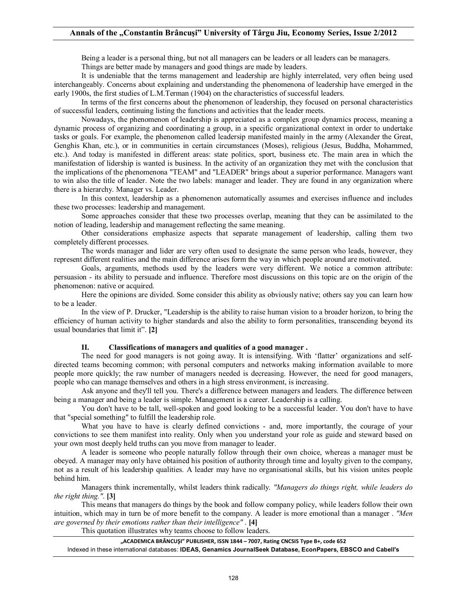Being a leader is a personal thing, but not all managers can be leaders or all leaders can be managers.

Things are better made by managers and good things are made by leaders.

It is undeniable that the terms management and leadership are highly interrelated, very often being used interchangeably. Concerns about explaining and understanding the phenomenona of leadership have emerged in the early 1900s, the first studies of L.M.Terman (1904) on the characteristics of successful leaders.

In terms of the first concerns about the phenomenon of leadership, they focused on personal characteristics of successful leaders, continuing listing the functions and activities that the leader meets.

Nowadays, the phenomenon of leadership is appreciated as a complex group dynamics process, meaning a dynamic process of organizing and coordinating a group, in a specific organizational context in order to undertake tasks or goals. For example, the phenomenon called leadersip manifested mainly in the army (Alexander the Great, Genghis Khan, etc.), or in communities in certain circumstances (Moses), religious (Jesus, Buddha, Mohammed, etc.). And today is manifested in different areas: state politics, sport, business etc. The main area in which the manifestation of lidership is wanted is business. In the activity of an organization they met with the conclusion that the implications of the phenomenona "TEAM" and "LEADER" brings about a superior performance. Managers want to win also the title of leader. Note the two labels: manager and leader. They are found in any organization where there is a hierarchy. Manager vs. Leader.

In this context, leadership as a phenomenon automatically assumes and exercises influence and includes these two processes: leadership and management.

Some approaches consider that these two processes overlap, meaning that they can be assimilated to the notion of leading, leadership and management reflecting the same meaning.

Other considerations emphasize aspects that separate management of leadership, calling them two completely different processes.

The words manager and lider are very often used to designate the same person who leads, however, they represent different realities and the main difference arises form the way in which people around are motivated.

Goals, arguments, methods used by the leaders were very different. We notice a common attribute: persuasion - its ability to persuade and influence. Therefore most discussions on this topic are on the origin of the phenomenon: native or acquired.

Here the opinions are divided. Some consider this ability as obviously native; others say you can learn how to be a leader.

In the view of P. Drucker, "Leadership is the ability to raise human vision to a broader horizon, to bring the efficiency of human activity to higher standards and also the ability to form personalities, transcending beyond its usual boundaries that limit it". **[2]**

#### **II. Classifications of managers and qualities of a good manager .**

The need for good managers is not going away. It is intensifying. With 'flatter' organizations and selfdirected teams becoming common; with personal computers and networks making information available to more people more quickly; the raw number of managers needed is decreasing. However, the need for good managers, people who can manage themselves and others in a high stress environment, is increasing.

Ask anyone and they'll tell you. There's a difference between managers and leaders. The difference between being a manager and being a leader is simple. Management is a career. Leadership is a calling.

You don't have to be tall, well-spoken and good looking to be a successful leader. You don't have to have that "special something" to fulfill the leadership role.

What you have to have is clearly defined convictions - and, more importantly, the courage of your convictions to see them manifest into reality. Only when you understand your role as guide and steward based on your own most deeply held truths can you move from manager to leader.

A leader is someone who people naturally follow through their own choice, whereas a manager must be obeyed. A manager may only have obtained his position of authority through time and loyalty given to the company, not as a result of his leadership qualities. A leader may have no organisational skills, but his vision unites people behind him.

Managers think incrementally, whilst leaders think radically. *"Managers do things right, while leaders do the right thing."*. **[3]**

This means that managers do things by the book and follow company policy, while leaders follow their own intuition, which may in turn be of more benefit to the company. A leader is more emotional than a manager . *"Men are governed by their emotions rather than their intelligence"* . **[4]**

This quotation illustrates why teams choose to follow leaders.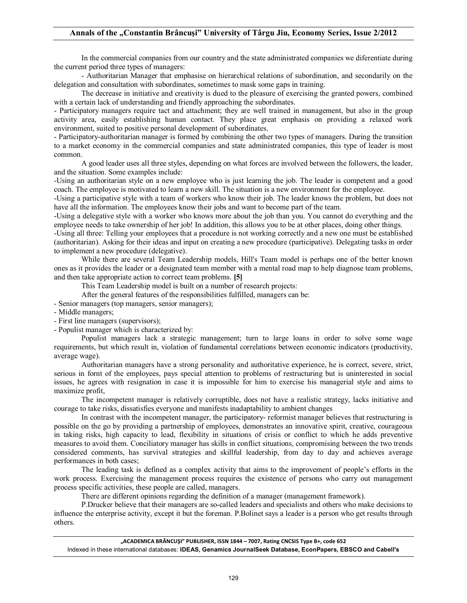In the commercial companies from our country and the state administrated companies we diferentiate during the current period three types of managers:

- Authoritarian Manager that emphasise on hierarchical relations of subordination, and secondarily on the delegation and consultation with subordinates, sometimes to mask some gaps in training.

The decrease in initiative and creativity is dued to the pleasure of exercising the granted powers, combined with a certain lack of understanding and friendly approaching the subordinates.

- Participatory managers require tact and attachment; they are well trained in management, but also in the group activity area, easily establishing human contact. They place great emphasis on providing a relaxed work environment, suited to positive personal development of subordinates.

- Participatory-authoritarian manager is formed by combining the other two types of managers. During the transition to a market economy in the commercial companies and state administrated companies, this type of leader is most common.

A good leader uses all three styles, depending on what forces are involved between the followers, the leader, and the situation. Some examples include:

-Using an authoritarian style on a new employee who is just learning the job. The leader is competent and a good coach. The employee is motivated to learn a new skill. The situation is a new environment for the employee.

-Using a participative style with a team of workers who know their job. The leader knows the problem, but does not have all the information. The employees know their jobs and want to become part of the team.

-Using a delegative style with a worker who knows more about the job than you. You cannot do everything and the employee needs to take ownership of her job! In addition, this allows you to be at other places, doing other things.

-Using all three: Telling your employees that a procedure is not working correctly and a new one must be established (authoritarian). Asking for their ideas and input on creating a new procedure (participative). Delegating tasks in order to implement a new procedure (delegative).

While there are several Team Leadership models, Hill's Team model is perhaps one of the better known ones as it provides the leader or a designated team member with a mental road map to help diagnose team problems, and then take appropriate action to correct team problems. **[5]**

This Team Leadership model is built on a number of research projects:

After the general features of the responsibilities fulfilled, managers can be:

- Senior managers (top managers, senior managers);

- Middle managers;
- First line managers (supervisors);

- Populist manager which is characterized by:

Populist managers lack a strategic management; turn to large loans in order to solve some wage requirements, but which result in, violation of fundamental correlations between economic indicators (productivity, average wage).

Authoritarian managers have a strong personality and authoritative experience, he is correct, severe, strict, serious in fornt of the employees, pays special attention to problems of restructuring but is uninterested in social issues, he agrees with resignation in case it is impossible for him to exercise his managerial style and aims to maximize profit,

The incompetent manager is relatively corruptible, does not have a realistic strategy, lacks initiative and courage to take risks, dissatisfies everyone and manifests inadaptability to ambient changes

In contrast with the incompetent manager, the participatory- reformist manager believes that restructuring is possible on the go by providing a partnership of employees, demonstrates an innovative spirit, creative, courageous in taking risks, high capacity to lead, flexibility in situations of crisis or conflict to which he adds preventive measures to avoid them. Conciliatory manager has skills in conflict situations, compromising between the two trends considered comments, has survival strategies and skillful leadership, from day to day and achieves average performances in both cases;

The leading task is defined as a complex activity that aims to the improvement of people's efforts in the work process. Exercising the management process requires the existence of persons who carry out management process specific activities, these people are called, managers.

There are different opinions regarding the definition of a manager (management framework).

P.Drucker believe that their managers are so-called leaders and specialists and others who make decisions to influence the enterprise activity, except it but the foreman. P.Bolinet says a leader is a person who get results through others.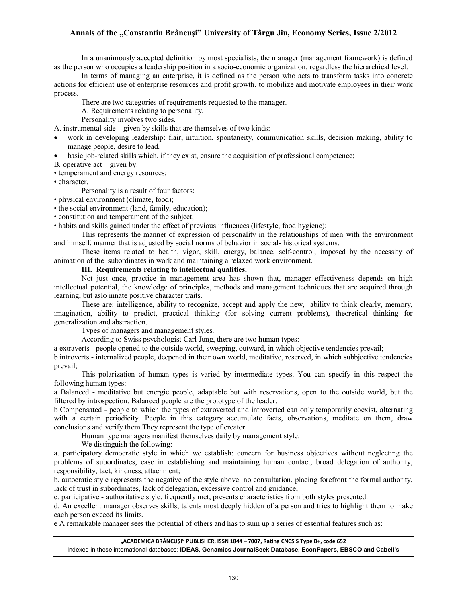In a unanimously accepted definition by most specialists, the manager (management framework) is defined as the person who occupies a leadership position in a socio-economic organization, regardless the hierarchical level.

In terms of managing an enterprise, it is defined as the person who acts to transform tasks into concrete actions for efficient use of enterprise resources and profit growth, to mobilize and motivate employees in their work process.

There are two categories of requirements requested to the manager.

A. Requirements relating to personality.

Personality involves two sides.

A. instrumental side – given by skills that are themselves of two kinds:

- work in developing leadership: flair, intuition, spontaneity, communication skills, decision making, ability to manage people, desire to lead.
- basic job-related skills which, if they exist, ensure the acquisition of professional competence;

B. operative  $act - given by$ :

• temperament and energy resources;

• character.

Personality is a result of four factors:

• physical environment (climate, food);

• the social environment (land, family, education);

• constitution and temperament of the subject;

• habits and skills gained under the effect of previous influences (lifestyle, food hygiene);

This represents the manner of expression of personality in the relationships of men with the environment and himself, manner that is adjusted by social norms of behavior in social- historical systems.

These items related to health, vigor, skill, energy, balance, self-control, imposed by the necessity of animation of the subordinates in work and maintaining a relaxed work environment.

#### **III. Requirements relating to intellectual qualities.**

Not just once, practice in management area has shown that, manager effectiveness depends on high intellectual potential, the knowledge of principles, methods and management techniques that are acquired through learning, but aslo innate positive character traits.

These are: intelligence, ability to recognize, accept and apply the new, ability to think clearly, memory, imagination, ability to predict, practical thinking (for solving current problems), theoretical thinking for generalization and abstraction.

Types of managers and management styles.

According to Swiss psychologist Carl Jung, there are two human types:

a extraverts - people opened to the outside world, sweeping, outward, in which objective tendencies prevail;

b introverts - internalized people, deepened in their own world, meditative, reserved, in which subbjective tendencies prevail;

This polarization of human types is varied by intermediate types. You can specify in this respect the following human types:

a Balanced - meditative but energic people, adaptable but with reservations, open to the outside world, but the filtered by introspection. Balanced people are the prototype of the leader.

b Compensated - people to which the types of extroverted and introverted can only temporarily coexist, alternating with a certain periodicity. People in this category accumulate facts, observations, meditate on them, draw conclusions and verify them.They represent the type of creator.

Human type managers manifest themselves daily by management style.

We distinguish the following:

a. participatory democratic style in which we establish: concern for business objectives without neglecting the problems of subordinates, ease in establishing and maintaining human contact, broad delegation of authority, responsibility, tact, kindness, attachment;

b. autocratic style represents the negative of the style above: no consultation, placing forefront the formal authority, lack of trust in subordinates, lack of delegation, excessive control and guidance;

c. participative - authoritative style, frequently met, presents characteristics from both styles presented.

d. An excellent manager observes skills, talents most deeply hidden of a person and tries to highlight them to make each person exceed its limits.

e A remarkable manager sees the potential of others and has to sum up a series of essential features such as: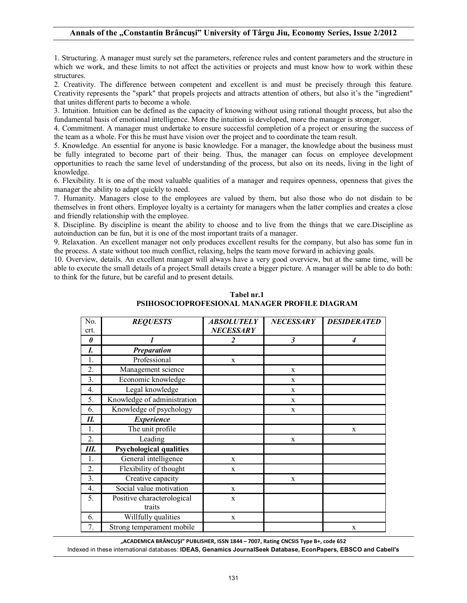1. Structuring. A manager must surely set the parameters, reference rules and content parameters and the structure in which we work, and these limits to not affect the activities or projects and must know how to work within these structures.

2. Creativity. The difference between competent and excellent is and must be precisely through this feature. Creativity represents the "spark" that propels projects and attracts attention of others, but also it's the "ingredient" that unites different parts to become a whole.

3. Intuition. Intuition can be defined as the capacity of knowing without using rational thought process, but also the fundamental basis of emotional intelligence. More the intuition is developed, more the manager is stronger.

4. Commitment. A manager must undertake to ensure successful completion of a project or ensuring the success of the team as a whole. For this he must have vision over the project and to coordinate the team result.

5. Knowledge. An essential for anyone is basic knowledge. For a manager, the knowledge about the business must be fully integrated to become part of their being. Thus, the manager can focus on employee development opportunities to reach the same level of understanding of the process, but also on its needs, living in the light of knowledge.

6. Flexibility. It is one of the most valuable qualities of a manager and requires openness, openness that gives the manager the ability to adapt quickly to need.

7. Humanity. Managers close to the employees are valued by them, but also those who do not disdain to be themselves in front others. Employee loyalty is a certainty for managers when the latter complies and creates a close and friendly relationship with the employee.

8. Discipline. By discipline is meant the ability to choose and to live from the things that we care.Discipline as autoinduction can be fun, but it is one of the most important traits of a manager.

9. Relaxation. An excellent manager not only produces excellent results for the company, but also has some fun in the process. A state without too much conflict, relaxing, helps the team move forward in achieving goals.

10. Overview, details. An excellent manager will always have a very good overview, but at the same time, will be able to execute the small details of a project.Small details create a bigger picture. A manager will be able to do both: to think for the future, but be careful and to present details.

| No.              | <b>REQUESTS</b>                      | <b>ABSOLUTELY</b>       | <b>NECESSARY</b> | <b>DESIDERATED</b> |
|------------------|--------------------------------------|-------------------------|------------------|--------------------|
| crt.             |                                      | <b>NECESSARY</b>        |                  |                    |
| $\theta$         | 1                                    | $\overline{\mathbf{c}}$ | 3                | $\boldsymbol{4}$   |
| I.               | Preparation                          |                         |                  |                    |
| 1.               | Professional                         | X                       |                  |                    |
| $\overline{2}$ . | Management science                   |                         | X                |                    |
| 3.               | Economic knowledge                   |                         | $\mathbf X$      |                    |
| 4.               | Legal knowledge                      |                         | X                |                    |
| 5.               | Knowledge of administration          |                         | $\mathbf X$      |                    |
| 6.               | Knowledge of psychology              |                         | $\mathbf X$      |                    |
| П.               | <b>Experience</b>                    |                         |                  |                    |
| 1.               | The unit profile                     |                         |                  | X                  |
| $\overline{2}$ . | Leading                              |                         | X                |                    |
| Ш.               | <b>Psychological qualities</b>       |                         |                  |                    |
| 1.               | General intelligence                 | X                       |                  |                    |
| $\overline{2}$ . | Flexibility of thought               | X                       |                  |                    |
| 3.               | Creative capacity                    |                         | $\mathbf X$      |                    |
| 4.               | Social value motivation              | X                       |                  |                    |
| 5.               | Positive characterological<br>traits | X                       |                  |                    |
| 6.               | Willfully qualities                  | X                       |                  |                    |
| 7.               | Strong temperament mobile            |                         |                  | $\mathbf X$        |

### **Tabel nr.1 PSIHOSOCIOPROFESIONAL MANAGER PROFILE DIAGRAM**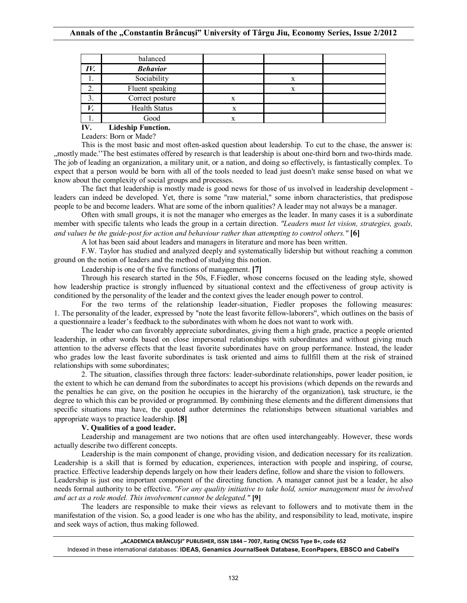|     | balanced             |   |  |
|-----|----------------------|---|--|
| IV. | <b>Behavior</b>      |   |  |
| .,  | Sociability          | x |  |
|     | Fluent speaking      | x |  |
| J.  | Correct posture      |   |  |
|     | <b>Health Status</b> |   |  |
|     | Good                 |   |  |

#### **IV. Lideship Function.**

Leaders: Born or Made?

This is the most basic and most often-asked question about leadership. To cut to the chase, the answer is: ", mostly made." The best estimates offered by research is that leadership is about one-third born and two-thirds made. The job of leading an organization, a military unit, or a nation, and doing so effectively, is fantastically complex. To expect that a person would be born with all of the tools needed to lead just doesn't make sense based on what we know about the complexity of social groups and processes.

The fact that leadership is mostly made is good news for those of us involved in leadership development leaders can indeed be developed. Yet, there is some "raw material," some inborn characteristics, that predispose people to be and become leaders. What are some of the inborn qualities? A leader may not always be a manager.

Often with small groups, it is not the manager who emerges as the leader. In many cases it is a subordinate member with specific talents who leads the group in a certain direction. *"Leaders must let vision, strategies, goals, and values be the guide-post for action and behaviour rather than attempting to control others."* **[6]**

A lot has been said about leaders and managers in literature and more has been written.

F.W. Taylor has studied and analyzed deeply and systematically lidership but without reaching a common ground on the notion of leaders and the method of studying this notion.

Leadership is one of the five functions of management. **[7]**

Through his research started in the 50s, F.Fiedler, whose concerns focused on the leading style, showed how leadership practice is strongly influenced by situational context and the effectiveness of group activity is conditioned by the personality of the leader and the context gives the leader enough power to control.

For the two terms of the relationship leader-situation, Fiedler proposes the following measures: 1. The personality of the leader, expressed by "note the least favorite fellow-laborers", which outlines on the basis of a questionnaire a leader's feedback to the subordinates with whom he does not want to work with.

The leader who can favorably appreciate subordinates, giving them a high grade, practice a people oriented leadership, in other words based on close impersonal relationships with subordinates and without giving much attention to the adverse effects that the least favorite subordinates have on group performance. Instead, the leader who grades low the least favorite subordinates is task oriented and aims to fullfill them at the risk of strained relationships with some subordinates;

2. The situation, classifies through three factors: leader-subordinate relationships, power leader position, ie the extent to which he can demand from the subordinates to accept his provisions (which depends on the rewards and the penalties he can give, on the position he occupies in the hierarchy of the organization), task structure, ie the degree to which this can be provided or programmed. By combining these elements and the different dimensions that specific situations may have, the quoted author determines the relationships between situational variables and appropriate ways to practice leadership. **[8]**

#### **V. Qualities of a good leader.**

Leadership and management are two notions that are often used interchangeably. However, these words actually describe two different concepts.

Leadership is the main component of change, providing vision, and dedication necessary for its realization. Leadership is a skill that is formed by education, experiences, interaction with people and inspiring, of course, practice. Effective leadership depends largely on how their leaders define, follow and share the vision to followers.

Leadership is just one important component of the directing function. A manager cannot just be a leader, he also needs formal authority to be effective. *"For any quality initiative to take hold, senior management must be involved and act as a role model. This involvement cannot be delegated."* **[9]**

The leaders are responsible to make their views as relevant to followers and to motivate them in the manifestation of the vision. So, a good leader is one who has the ability, and responsibility to lead, motivate, inspire and seek ways of action, thus making followed.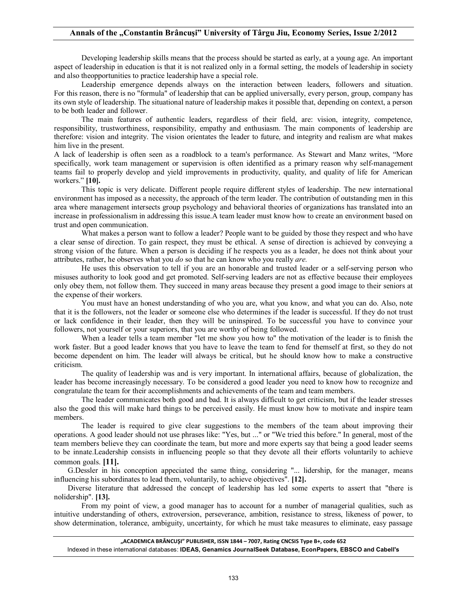Developing leadership skills means that the process should be started as early, at a young age. An important aspect of leadership in education is that it is not realized only in a formal setting, the models of leadership in society and also theopportunities to practice leadership have a special role.

Leadership emergence depends always on the interaction between leaders, followers and situation. For this reason, there is no "formula" of leadership that can be applied universally, every person, group, company has its own style of leadership. The situational nature of leadership makes it possible that, depending on context, a person to be both leader and follower.

The main features of authentic leaders, regardless of their field, are: vision, integrity, competence, responsibility, trustworthiness, responsibility, empathy and enthusiasm. The main components of leadership are therefore: vision and integrity. The vision orientates the leader to future, and integrity and realism are what makes him live in the present.

A lack of leadership is often seen as a roadblock to a team's performance. As Stewart and Manz writes, "More specifically, work team management or supervision is often identified as a primary reason why self-management teams fail to properly develop and yield improvements in productivity, quality, and quality of life for American workers." **[10].**

This topic is very delicate. Different people require different styles of leadership. The new international environment has imposed as a necessity, the approach of the term leader. The contribution of outstanding men in this area where management intersects group psychology and behavioral theories of organizations has translated into an increase in professionalism in addressing this issue.A team leader must know how to create an environment based on trust and open communication.

What makes a person want to follow a leader? People want to be guided by those they respect and who have a clear sense of direction. To gain respect, they must be ethical. A sense of direction is achieved by conveying a strong vision of the future. When a person is deciding if he respects you as a leader, he does not think about your attributes, rather, he observes what you *do* so that he can know who you really *are.*

He uses this observation to tell if you are an honorable and trusted leader or a self-serving person who misuses authority to look good and get promoted. Self-serving leaders are not as effective because their employees only obey them, not follow them. They succeed in many areas because they present a good image to their seniors at the expense of their workers.

You must have an honest understanding of who you are, what you know, and what you can do. Also, note that it is the followers, not the leader or someone else who determines if the leader is successful. If they do not trust or lack confidence in their leader, then they will be uninspired. To be successful you have to convince your followers, not yourself or your superiors, that you are worthy of being followed.

When a leader tells a team member "let me show you how to" the motivation of the leader is to finish the work faster. But a good leader knows that you have to leave the team to fend for themself at first, so they do not become dependent on him. The leader will always be critical, but he should know how to make a constructive criticism.

The quality of leadership was and is very important. In international affairs, because of globalization, the leader has become increasingly necessary. To be considered a good leader you need to know how to recognize and congratulate the team for their accomplishments and achievements of the team and team members.

The leader communicates both good and bad. It is always difficult to get criticism, but if the leader stresses also the good this will make hard things to be perceived easily. He must know how to motivate and inspire team members.

The leader is required to give clear suggestions to the members of the team about improving their operations. A good leader should not use phrases like: "Yes, but ..." or "We tried this before." In general, most of the team members believe they can coordinate the team, but more and more experts say that being a good leader seems to be innate.Leadership consists in influencing people so that they devote all their efforts voluntarily to achieve common goals. **[11].**

G.Dessler in his conception appeciated the same thing, considering "... lidership, for the manager, means influencing his subordinates to lead them, voluntarily, to achieve objectives". **[12].**

Diverse literature that addressed the concept of leadership has led some experts to assert that "there is nolidership". **[13].**

From my point of view, a good manager has to account for a number of managerial qualities, such as intuitive understanding of others, extroversion, perseverance, ambition, resistance to stress, likeness of power, to show determination, tolerance, ambiguity, uncertainty, for which he must take measures to eliminate, easy passage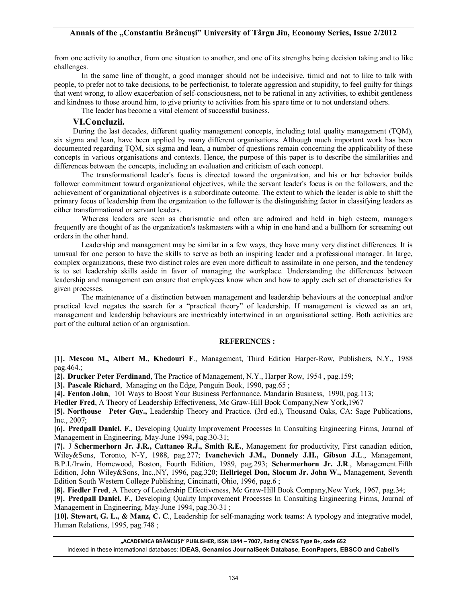from one activity to another, from one situation to another, and one of its strengths being decision taking and to like challenges.

In the same line of thought, a good manager should not be indecisive, timid and not to like to talk with people, to prefer not to take decisions, to be perfectionist, to tolerate aggression and stupidity, to feel guilty for things that went wrong, to allow exacerbation of self-consciousness, not to be rational in any activities, to exhibit gentleness and kindness to those around him, to give priority to activities from his spare time or to not understand others.

The leader has become a vital element of successful business.

## **VI.Concluzii.**

During the last decades, different quality management concepts, including total quality management (TQM), six sigma and lean, have been applied by many different organisations. Although much important work has been documented regarding TQM, six sigma and lean, a number of questions remain concerning the applicability of these concepts in various organisations and contexts. Hence, the purpose of this paper is to describe the similarities and differences between the concepts, including an evaluation and criticism of each concept.

The transformational leader's focus is directed toward the organization, and his or her behavior builds follower commitment toward organizational objectives, while the servant leader's focus is on the followers, and the achievement of organizational objectives is a subordinate outcome. The extent to which the leader is able to shift the primary focus of leadership from the organization to the follower is the distinguishing factor in classifying leaders as either transformational or servant leaders.

Whereas leaders are seen as charismatic and often are admired and held in high esteem, managers frequently are thought of as the organization's taskmasters with a whip in one hand and a bullhorn for screaming out orders in the other hand.

Leadership and management may be similar in a few ways, they have many very distinct differences. It is unusual for one person to have the skills to serve as both an inspiring leader and a professional manager. In large, complex organizations, these two distinct roles are even more difficult to assimilate in one person, and the tendency is to set leadership skills aside in favor of managing the workplace. Understanding the differences between leadership and management can ensure that employees know when and how to apply each set of characteristics for given processes.

The maintenance of a distinction between management and leadership behaviours at the conceptual and/or practical level negates the search for a "practical theory" of leadership. If management is viewed as an art, management and leadership behaviours are inextricably intertwined in an organisational setting. Both activities are part of the cultural action of an organisation.

#### **REFERENCES :**

**[1]. Mescon M., Albert M., Khedouri F**., Management, Third Edition Harper-Row, Publishers, N.Y., 1988 pag.464.;

**[2]. Drucker Peter Ferdinand**, The Practice of Management, N.Y., Harper Row, 1954 , pag.159;

**[3]. Pascale Richard**, Managing on the Edge, Penguin Book, 1990, pag.65 ;

**[4]. Fenton John**, 101 Ways to Boost Your Business Performance, Mandarin Business, 1990, pag.113;

**Fiedler Fred**, A Theory of Leadership Effectiveness, Mc Graw-Hill Book Company,New York,1967

**[5]. Northouse Peter Guy.,** Leadership Theory and Practice. (3rd ed.), Thousand Oaks, CA: Sage Publications, Inc., 2007;

**[6]. Predpall Daniel. F.**, Developing Quality Improvement Processes In Consulting Engineering Firms, Journal of Management in Engineering, May-June 1994, pag.30-31;

**[7].** J **Schermerhorn Jr. J.R., Cattaneo R.J., Smith R.E.**, Management for productivity, First canadian edition, Wiley&Sons, Toronto, N-Y, 1988, pag.277; **Ivanchevich J.M., Donnely J.H., Gibson J.L**., Management, B.P.I./Irwin, Homewood, Boston, Fourth Edition, 1989, pag.293; **Schermerhorn Jr. J.R**., Management.Fifth Edition, John Wiley&Sons, Inc.,NY, 1996, pag.320; **Hellriegel Don, Slocum Jr. John W.,** Management, Seventh Edition South Western College Publishing, Cincinatti, Ohio, 1996, pag.6 ;

**[8]. Fiedler Fred**, A Theory of Leadership Effectiveness, Mc Graw-Hill Book Company,New York, 1967, pag.34;

**[9]. Predpall Daniel. F.**, Developing Quality Improvement Processes In Consulting Engineering Firms, Journal of Management in Engineering, May-June 1994, pag. 30-31;

**[10]. Stewart, G. L., & Manz, C. C**., Leadership for self-managing work teams: A typology and integrative model, Human Relations, 1995, pag.748 ;